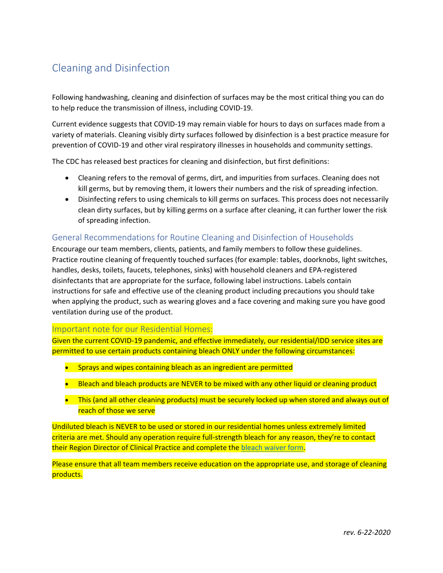# Cleaning and Disinfection

Following handwashing, cleaning and disinfection of surfaces may be the most critical thing you can do to help reduce the transmission of illness, including COVID-19.

Current evidence suggests that COVID-19 may remain viable for hours to days on surfaces made from a variety of materials. Cleaning visibly dirty surfaces followed by disinfection is a best practice measure for prevention of COVID-19 and other viral respiratory illnesses in households and community settings.

The CDC has released best practices for cleaning and disinfection, but first definitions:

- Cleaning refers to the removal of germs, dirt, and impurities from surfaces. Cleaning does not kill germs, but by removing them, it lowers their numbers and the risk of spreading infection.
- Disinfecting refers to using chemicals to kill germs on surfaces. This process does not necessarily clean dirty surfaces, but by killing germs on a surface after cleaning, it can further lower the risk of spreading infection.

### General Recommendations for Routine Cleaning and Disinfection of Households

Encourage our team members, clients, patients, and family members to follow these guidelines. Practice routine cleaning of frequently touched surfaces (for example: tables, doorknobs, light switches, handles, desks, toilets, faucets, telephones, sinks) with household cleaners and EPA-registered disinfectants that are appropriate for the surface, following label instructions. Labels contain instructions for safe and effective use of the cleaning product including precautions you should take when applying the product, such as wearing gloves and a face covering and making sure you have good ventilation during use of the product.

### Important note for our Residential Homes:

Given the current COVID-19 pandemic, and effective immediately, our residential/IDD service sites are permitted to use certain products containing bleach ONLY under the following circumstances:

- Sprays and wipes containing bleach as an ingredient are permitted
- Bleach and bleach products are NEVER to be mixed with any other liquid or cleaning product
- This (and all other cleaning products) must be securely locked up when stored and always out of reach of those we serve

Undiluted bleach is NEVER to be used or stored in our residential homes unless extremely limited criteria are met. Should any operation require full-strength bleach for any reason, they're to contact their Region Director of Clinical Practice and complete the [bleach waiver form.](https://reach.brightspringhealth.com/wp-content/uploads/Bleach-waiver-v3-03312020.pdf)

Please ensure that all team members receive education on the appropriate use, and storage of cleaning products.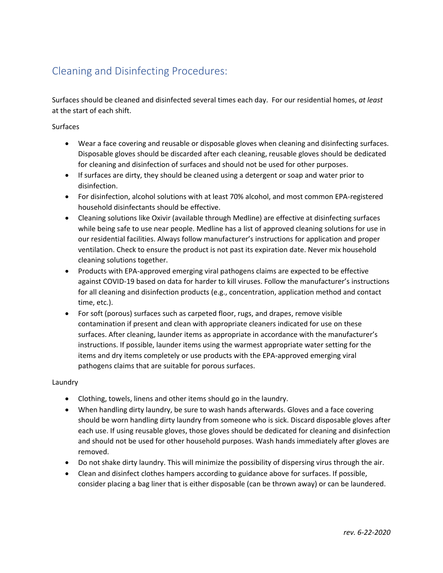## Cleaning and Disinfecting Procedures:

Surfaces should be cleaned and disinfected several times each day. For our residential homes, *at least* at the start of each shift.

### Surfaces

- Wear a face covering and reusable or disposable gloves when cleaning and disinfecting surfaces. Disposable gloves should be discarded after each cleaning, reusable gloves should be dedicated for cleaning and disinfection of surfaces and should not be used for other purposes.
- If surfaces are dirty, they should be cleaned using a detergent or soap and water prior to disinfection.
- For disinfection, alcohol solutions with at least 70% alcohol, and most common EPA-registered household disinfectants should be effective.
- Cleaning solutions like Oxivir (available through Medline) are effective at disinfecting surfaces while being safe to use near people. Medline has a list of approved cleaning solutions for use in our residential facilities. Always follow manufacturer's instructions for application and proper ventilation. Check to ensure the product is not past its expiration date. Never mix household cleaning solutions together.
- Products with EPA-approved emerging viral pathogens claims are expected to be effective against COVID-19 based on data for harder to kill viruses. Follow the manufacturer's instructions for all cleaning and disinfection products (e.g., concentration, application method and contact time, etc.).
- For soft (porous) surfaces such as carpeted floor, rugs, and drapes, remove visible contamination if present and clean with appropriate cleaners indicated for use on these surfaces. After cleaning, launder items as appropriate in accordance with the manufacturer's instructions. If possible, launder items using the warmest appropriate water setting for the items and dry items completely or use products with the EPA-approved emerging viral pathogens claims that are suitable for porous surfaces.

#### Laundry

- Clothing, towels, linens and other items should go in the laundry.
- When handling dirty laundry, be sure to wash hands afterwards. Gloves and a face covering should be worn handling dirty laundry from someone who is sick. Discard disposable gloves after each use. If using reusable gloves, those gloves should be dedicated for cleaning and disinfection and should not be used for other household purposes. Wash hands immediately after gloves are removed.
- Do not shake dirty laundry. This will minimize the possibility of dispersing virus through the air.
- Clean and disinfect clothes hampers according to guidance above for surfaces. If possible, consider placing a bag liner that is either disposable (can be thrown away) or can be laundered.